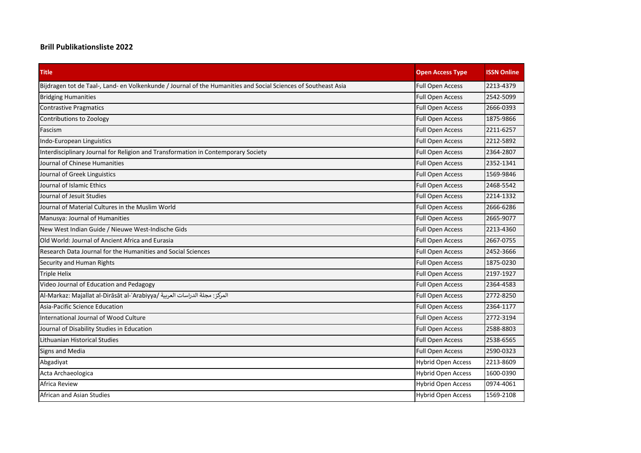## **Brill Publikationsliste 2022**

| <b>Title</b>                                                                                                   | <b>Open Access Type</b>   | <b>ISSN Online</b> |
|----------------------------------------------------------------------------------------------------------------|---------------------------|--------------------|
| Bijdragen tot de Taal-, Land- en Volkenkunde / Journal of the Humanities and Social Sciences of Southeast Asia | <b>Full Open Access</b>   | 2213-4379          |
| <b>Bridging Humanities</b>                                                                                     | <b>Full Open Access</b>   | 2542-5099          |
| <b>Contrastive Pragmatics</b>                                                                                  | <b>Full Open Access</b>   | 2666-0393          |
| Contributions to Zoology                                                                                       | <b>Full Open Access</b>   | 1875-9866          |
| Fascism                                                                                                        | <b>Full Open Access</b>   | 2211-6257          |
| Indo-European Linguistics                                                                                      | <b>Full Open Access</b>   | 2212-5892          |
| Interdisciplinary Journal for Religion and Transformation in Contemporary Society                              | <b>Full Open Access</b>   | 2364-2807          |
| Journal of Chinese Humanities                                                                                  | <b>Full Open Access</b>   | 2352-1341          |
| Journal of Greek Linguistics                                                                                   | <b>Full Open Access</b>   | 1569-9846          |
| Journal of Islamic Ethics                                                                                      | <b>Full Open Access</b>   | 2468-5542          |
| Journal of Jesuit Studies                                                                                      | <b>Full Open Access</b>   | 2214-1332          |
| Journal of Material Cultures in the Muslim World                                                               | <b>Full Open Access</b>   | 2666-6286          |
| Manusya: Journal of Humanities                                                                                 | <b>Full Open Access</b>   | 2665-9077          |
| New West Indian Guide / Nieuwe West-Indische Gids                                                              | <b>Full Open Access</b>   | 2213-4360          |
| Old World: Journal of Ancient Africa and Eurasia                                                               | <b>Full Open Access</b>   | 2667-0755          |
| Research Data Journal for the Humanities and Social Sciences                                                   | <b>Full Open Access</b>   | 2452-3666          |
| Security and Human Rights                                                                                      | <b>Full Open Access</b>   | 1875-0230          |
| <b>Triple Helix</b>                                                                                            | <b>Full Open Access</b>   | 2197-1927          |
| Video Journal of Education and Pedagogy                                                                        | <b>Full Open Access</b>   | 2364-4583          |
| Al-Markaz: Majallat al-Dirāsāt al-ʿArabiyya/ المركز: مجلة الدراسات العربية                                     | <b>Full Open Access</b>   | 2772-8250          |
| Asia-Pacific Science Education                                                                                 | <b>Full Open Access</b>   | 2364-1177          |
| International Journal of Wood Culture                                                                          | <b>Full Open Access</b>   | 2772-3194          |
| Journal of Disability Studies in Education                                                                     | <b>Full Open Access</b>   | 2588-8803          |
| Lithuanian Historical Studies                                                                                  | <b>Full Open Access</b>   | 2538-6565          |
| Signs and Media                                                                                                | <b>Full Open Access</b>   | 2590-0323          |
| Abgadiyat                                                                                                      | <b>Hybrid Open Access</b> | 2213-8609          |
| Acta Archaeologica                                                                                             | <b>Hybrid Open Access</b> | 1600-0390          |
| Africa Review                                                                                                  | <b>Hybrid Open Access</b> | 0974-4061          |
| African and Asian Studies                                                                                      | <b>Hybrid Open Access</b> | 1569-2108          |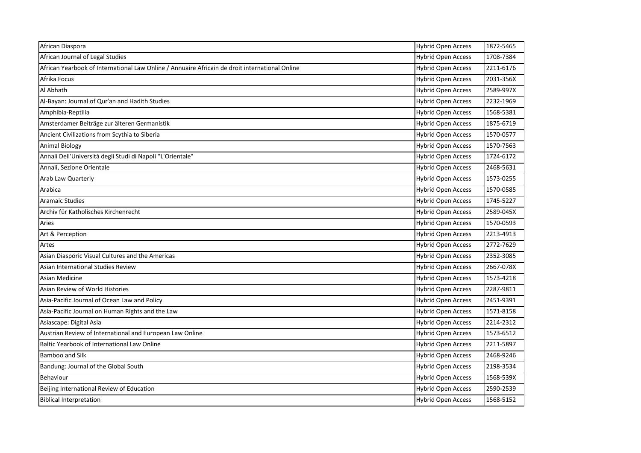| African Diaspora                                                                               | <b>Hybrid Open Access</b> | 1872-5465 |
|------------------------------------------------------------------------------------------------|---------------------------|-----------|
| African Journal of Legal Studies                                                               | <b>Hybrid Open Access</b> | 1708-7384 |
| African Yearbook of International Law Online / Annuaire Africain de droit international Online | <b>Hybrid Open Access</b> | 2211-6176 |
| Afrika Focus                                                                                   | <b>Hybrid Open Access</b> | 2031-356X |
| Al Abhath                                                                                      | <b>Hybrid Open Access</b> | 2589-997X |
| Al-Bayan: Journal of Qur'an and Hadith Studies                                                 | <b>Hybrid Open Access</b> | 2232-1969 |
| Amphibia-Reptilia                                                                              | <b>Hybrid Open Access</b> | 1568-5381 |
| Amsterdamer Beiträge zur älteren Germanistik                                                   | <b>Hybrid Open Access</b> | 1875-6719 |
| Ancient Civilizations from Scythia to Siberia                                                  | <b>Hybrid Open Access</b> | 1570-0577 |
| <b>Animal Biology</b>                                                                          | <b>Hybrid Open Access</b> | 1570-7563 |
| Annali Dell'Università degli Studi di Napoli "L'Orientale"                                     | <b>Hybrid Open Access</b> | 1724-6172 |
| Annali, Sezione Orientale                                                                      | <b>Hybrid Open Access</b> | 2468-5631 |
| Arab Law Quarterly                                                                             | <b>Hybrid Open Access</b> | 1573-0255 |
| Arabica                                                                                        | <b>Hybrid Open Access</b> | 1570-0585 |
| <b>Aramaic Studies</b>                                                                         | <b>Hybrid Open Access</b> | 1745-5227 |
| Archiv für Katholisches Kirchenrecht                                                           | <b>Hybrid Open Access</b> | 2589-045X |
| Aries                                                                                          | <b>Hybrid Open Access</b> | 1570-0593 |
| Art & Perception                                                                               | <b>Hybrid Open Access</b> | 2213-4913 |
| Artes                                                                                          | <b>Hybrid Open Access</b> | 2772-7629 |
| Asian Diasporic Visual Cultures and the Americas                                               | <b>Hybrid Open Access</b> | 2352-3085 |
| <b>Asian International Studies Review</b>                                                      | <b>Hybrid Open Access</b> | 2667-078X |
| Asian Medicine                                                                                 | <b>Hybrid Open Access</b> | 1573-4218 |
| Asian Review of World Histories                                                                | <b>Hybrid Open Access</b> | 2287-9811 |
| Asia-Pacific Journal of Ocean Law and Policy                                                   | <b>Hybrid Open Access</b> | 2451-9391 |
| Asia-Pacific Journal on Human Rights and the Law                                               | <b>Hybrid Open Access</b> | 1571-8158 |
| Asiascape: Digital Asia                                                                        | <b>Hybrid Open Access</b> | 2214-2312 |
| Austrian Review of International and European Law Online                                       | <b>Hybrid Open Access</b> | 1573-6512 |
| Baltic Yearbook of International Law Online                                                    | <b>Hybrid Open Access</b> | 2211-5897 |
| Bamboo and Silk                                                                                | <b>Hybrid Open Access</b> | 2468-9246 |
| Bandung: Journal of the Global South                                                           | <b>Hybrid Open Access</b> | 2198-3534 |
| Behaviour                                                                                      | <b>Hybrid Open Access</b> | 1568-539X |
| Beijing International Review of Education                                                      | <b>Hybrid Open Access</b> | 2590-2539 |
| <b>Biblical Interpretation</b>                                                                 | <b>Hybrid Open Access</b> | 1568-5152 |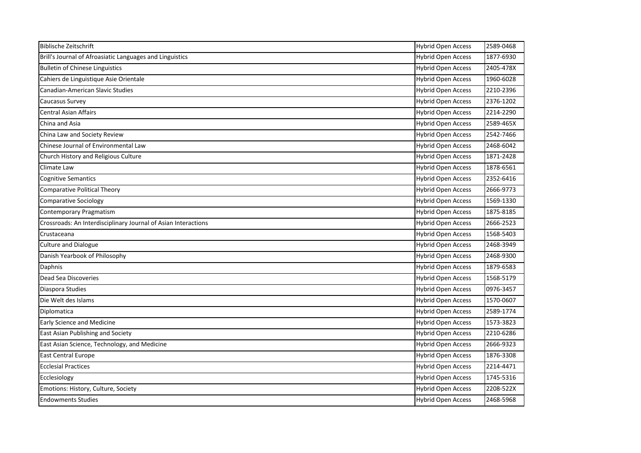| <b>Biblische Zeitschrift</b>                                   | <b>Hybrid Open Access</b> | 2589-0468 |
|----------------------------------------------------------------|---------------------------|-----------|
| Brill's Journal of Afroasiatic Languages and Linguistics       | <b>Hybrid Open Access</b> | 1877-6930 |
| <b>Bulletin of Chinese Linguistics</b>                         | <b>Hybrid Open Access</b> | 2405-478X |
| Cahiers de Linguistique Asie Orientale                         | <b>Hybrid Open Access</b> | 1960-6028 |
| Canadian-American Slavic Studies                               | <b>Hybrid Open Access</b> | 2210-2396 |
| Caucasus Survey                                                | <b>Hybrid Open Access</b> | 2376-1202 |
| <b>Central Asian Affairs</b>                                   | <b>Hybrid Open Access</b> | 2214-2290 |
| China and Asia                                                 | <b>Hybrid Open Access</b> | 2589-465X |
| China Law and Society Review                                   | Hybrid Open Access        | 2542-7466 |
| Chinese Journal of Environmental Law                           | <b>Hybrid Open Access</b> | 2468-6042 |
| Church History and Religious Culture                           | <b>Hybrid Open Access</b> | 1871-2428 |
| Climate Law                                                    | <b>Hybrid Open Access</b> | 1878-6561 |
| <b>Cognitive Semantics</b>                                     | <b>Hybrid Open Access</b> | 2352-6416 |
| <b>Comparative Political Theory</b>                            | <b>Hybrid Open Access</b> | 2666-9773 |
| <b>Comparative Sociology</b>                                   | <b>Hybrid Open Access</b> | 1569-1330 |
| <b>Contemporary Pragmatism</b>                                 | <b>Hybrid Open Access</b> | 1875-8185 |
| Crossroads: An Interdisciplinary Journal of Asian Interactions | <b>Hybrid Open Access</b> | 2666-2523 |
| Crustaceana                                                    | <b>Hybrid Open Access</b> | 1568-5403 |
| <b>Culture and Dialogue</b>                                    | <b>Hybrid Open Access</b> | 2468-3949 |
| Danish Yearbook of Philosophy                                  | <b>Hybrid Open Access</b> | 2468-9300 |
| Daphnis                                                        | <b>Hybrid Open Access</b> | 1879-6583 |
| Dead Sea Discoveries                                           | <b>Hybrid Open Access</b> | 1568-5179 |
| Diaspora Studies                                               | <b>Hybrid Open Access</b> | 0976-3457 |
| Die Welt des Islams                                            | <b>Hybrid Open Access</b> | 1570-0607 |
| Diplomatica                                                    | <b>Hybrid Open Access</b> | 2589-1774 |
| <b>Early Science and Medicine</b>                              | <b>Hybrid Open Access</b> | 1573-3823 |
| East Asian Publishing and Society                              | <b>Hybrid Open Access</b> | 2210-6286 |
| East Asian Science, Technology, and Medicine                   | <b>Hybrid Open Access</b> | 2666-9323 |
| <b>East Central Europe</b>                                     | <b>Hybrid Open Access</b> | 1876-3308 |
| <b>Ecclesial Practices</b>                                     | <b>Hybrid Open Access</b> | 2214-4471 |
| Ecclesiology                                                   | <b>Hybrid Open Access</b> | 1745-5316 |
| Emotions: History, Culture, Society                            | <b>Hybrid Open Access</b> | 2208-522X |
| <b>Endowments Studies</b>                                      | <b>Hybrid Open Access</b> | 2468-5968 |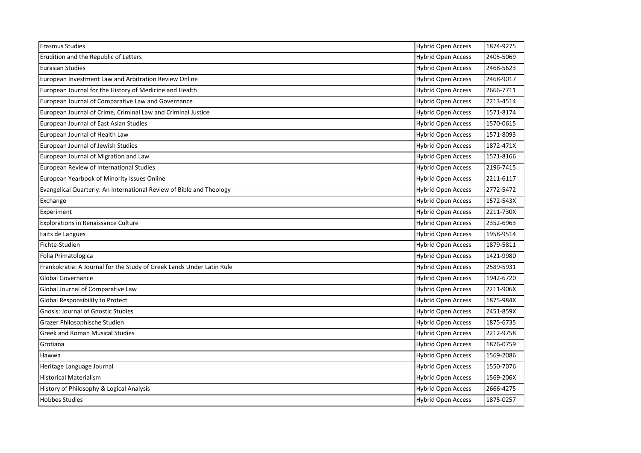| <b>Erasmus Studies</b>                                                | <b>Hybrid Open Access</b> | 1874-9275 |
|-----------------------------------------------------------------------|---------------------------|-----------|
| Erudition and the Republic of Letters                                 | <b>Hybrid Open Access</b> | 2405-5069 |
| <b>Eurasian Studies</b>                                               | <b>Hybrid Open Access</b> | 2468-5623 |
| European Investment Law and Arbitration Review Online                 | <b>Hybrid Open Access</b> | 2468-9017 |
| European Journal for the History of Medicine and Health               | <b>Hybrid Open Access</b> | 2666-7711 |
| European Journal of Comparative Law and Governance                    | <b>Hybrid Open Access</b> | 2213-4514 |
| European Journal of Crime, Criminal Law and Criminal Justice          | <b>Hybrid Open Access</b> | 1571-8174 |
| European Journal of East Asian Studies                                | <b>Hybrid Open Access</b> | 1570-0615 |
| European Journal of Health Law                                        | <b>Hybrid Open Access</b> | 1571-8093 |
| European Journal of Jewish Studies                                    | <b>Hybrid Open Access</b> | 1872-471X |
| European Journal of Migration and Law                                 | <b>Hybrid Open Access</b> | 1571-8166 |
| European Review of International Studies                              | <b>Hybrid Open Access</b> | 2196-7415 |
| European Yearbook of Minority Issues Online                           | <b>Hybrid Open Access</b> | 2211-6117 |
| Evangelical Quarterly: An International Review of Bible and Theology  | <b>Hybrid Open Access</b> | 2772-5472 |
| Exchange                                                              | <b>Hybrid Open Access</b> | 1572-543X |
| Experiment                                                            | <b>Hybrid Open Access</b> | 2211-730X |
| <b>Explorations in Renaissance Culture</b>                            | <b>Hybrid Open Access</b> | 2352-6963 |
| Faits de Langues                                                      | <b>Hybrid Open Access</b> | 1958-9514 |
| Fichte-Studien                                                        | <b>Hybrid Open Access</b> | 1879-5811 |
| Folia Primatologica                                                   | <b>Hybrid Open Access</b> | 1421-9980 |
| Frankokratia: A Journal for the Study of Greek Lands Under Latin Rule | <b>Hybrid Open Access</b> | 2589-5931 |
| <b>Global Governance</b>                                              | <b>Hybrid Open Access</b> | 1942-6720 |
| Global Journal of Comparative Law                                     | <b>Hybrid Open Access</b> | 2211-906X |
| Global Responsibility to Protect                                      | <b>Hybrid Open Access</b> | 1875-984X |
| <b>Gnosis: Journal of Gnostic Studies</b>                             | <b>Hybrid Open Access</b> | 2451-859X |
| Grazer Philosophische Studien                                         | <b>Hybrid Open Access</b> | 1875-6735 |
| <b>Greek and Roman Musical Studies</b>                                | <b>Hybrid Open Access</b> | 2212-9758 |
| Grotiana                                                              | <b>Hybrid Open Access</b> | 1876-0759 |
| Hawwa                                                                 | <b>Hybrid Open Access</b> | 1569-2086 |
| Heritage Language Journal                                             | <b>Hybrid Open Access</b> | 1550-7076 |
| <b>Historical Materialism</b>                                         | <b>Hybrid Open Access</b> | 1569-206X |
| History of Philosophy & Logical Analysis                              | <b>Hybrid Open Access</b> | 2666-4275 |
| <b>Hobbes Studies</b>                                                 | <b>Hybrid Open Access</b> | 1875-0257 |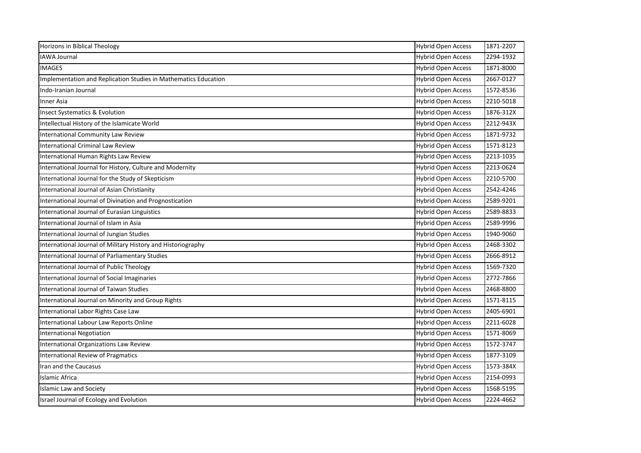| Horizons in Biblical Theology                                   | <b>Hybrid Open Access</b> | 1871-2207 |
|-----------------------------------------------------------------|---------------------------|-----------|
| <b>IAWA Journal</b>                                             | <b>Hybrid Open Access</b> | 2294-1932 |
| <b>IMAGES</b>                                                   | <b>Hybrid Open Access</b> | 1871-8000 |
| Implementation and Replication Studies in Mathematics Education | <b>Hybrid Open Access</b> | 2667-0127 |
| Indo-Iranian Journal                                            | <b>Hybrid Open Access</b> | 1572-8536 |
| <b>Inner Asia</b>                                               | <b>Hybrid Open Access</b> | 2210-5018 |
| <b>Insect Systematics &amp; Evolution</b>                       | <b>Hybrid Open Access</b> | 1876-312X |
| Intellectual History of the Islamicate World                    | <b>Hybrid Open Access</b> | 2212-943X |
| International Community Law Review                              | <b>Hybrid Open Access</b> | 1871-9732 |
| <b>International Criminal Law Review</b>                        | <b>Hybrid Open Access</b> | 1571-8123 |
| International Human Rights Law Review                           | <b>Hybrid Open Access</b> | 2213-1035 |
| International Journal for History, Culture and Modernity        | <b>Hybrid Open Access</b> | 2213-0624 |
| International Journal for the Study of Skepticism               | <b>Hybrid Open Access</b> | 2210-5700 |
| International Journal of Asian Christianity                     | <b>Hybrid Open Access</b> | 2542-4246 |
| International Journal of Divination and Prognostication         | <b>Hybrid Open Access</b> | 2589-9201 |
| International Journal of Eurasian Linguistics                   | <b>Hybrid Open Access</b> | 2589-8833 |
| International Journal of Islam in Asia                          | <b>Hybrid Open Access</b> | 2589-9996 |
| International Journal of Jungian Studies                        | <b>Hybrid Open Access</b> | 1940-9060 |
| International Journal of Military History and Historiography    | <b>Hybrid Open Access</b> | 2468-3302 |
| International Journal of Parliamentary Studies                  | <b>Hybrid Open Access</b> | 2666-8912 |
| International Journal of Public Theology                        | <b>Hybrid Open Access</b> | 1569-7320 |
| International Journal of Social Imaginaries                     | <b>Hybrid Open Access</b> | 2772-7866 |
| International Journal of Taiwan Studies                         | <b>Hybrid Open Access</b> | 2468-8800 |
| International Journal on Minority and Group Rights              | <b>Hybrid Open Access</b> | 1571-8115 |
| International Labor Rights Case Law                             | <b>Hybrid Open Access</b> | 2405-6901 |
| International Labour Law Reports Online                         | <b>Hybrid Open Access</b> | 2211-6028 |
| <b>International Negotiation</b>                                | <b>Hybrid Open Access</b> | 1571-8069 |
| International Organizations Law Review                          | <b>Hybrid Open Access</b> | 1572-3747 |
| <b>International Review of Pragmatics</b>                       | <b>Hybrid Open Access</b> | 1877-3109 |
| Iran and the Caucasus                                           | <b>Hybrid Open Access</b> | 1573-384X |
| Islamic Africa                                                  | <b>Hybrid Open Access</b> | 2154-0993 |
| <b>Islamic Law and Society</b>                                  | <b>Hybrid Open Access</b> | 1568-5195 |
| Israel Journal of Ecology and Evolution                         | <b>Hybrid Open Access</b> | 2224-4662 |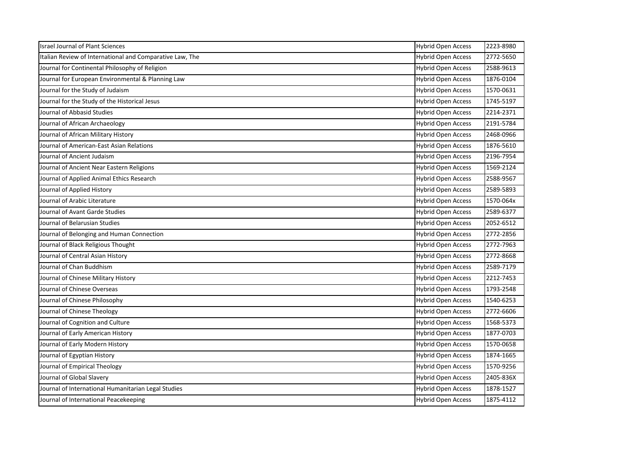| <b>Israel Journal of Plant Sciences</b>                  | <b>Hybrid Open Access</b> | 2223-8980 |
|----------------------------------------------------------|---------------------------|-----------|
| Italian Review of International and Comparative Law, The | <b>Hybrid Open Access</b> | 2772-5650 |
| Journal for Continental Philosophy of Religion           | <b>Hybrid Open Access</b> | 2588-9613 |
| Journal for European Environmental & Planning Law        | <b>Hybrid Open Access</b> | 1876-0104 |
| Journal for the Study of Judaism                         | <b>Hybrid Open Access</b> | 1570-0631 |
| Journal for the Study of the Historical Jesus            | <b>Hybrid Open Access</b> | 1745-5197 |
| Journal of Abbasid Studies                               | <b>Hybrid Open Access</b> | 2214-2371 |
| Journal of African Archaeology                           | <b>Hybrid Open Access</b> | 2191-5784 |
| Journal of African Military History                      | <b>Hybrid Open Access</b> | 2468-0966 |
| Journal of American-East Asian Relations                 | <b>Hybrid Open Access</b> | 1876-5610 |
| Journal of Ancient Judaism                               | <b>Hybrid Open Access</b> | 2196-7954 |
| Journal of Ancient Near Eastern Religions                | <b>Hybrid Open Access</b> | 1569-2124 |
| Journal of Applied Animal Ethics Research                | <b>Hybrid Open Access</b> | 2588-9567 |
| Journal of Applied History                               | <b>Hybrid Open Access</b> | 2589-5893 |
| Journal of Arabic Literature                             | <b>Hybrid Open Access</b> | 1570-064x |
| Journal of Avant Garde Studies                           | <b>Hybrid Open Access</b> | 2589-6377 |
| Journal of Belarusian Studies                            | <b>Hybrid Open Access</b> | 2052-6512 |
| Journal of Belonging and Human Connection                | <b>Hybrid Open Access</b> | 2772-2856 |
| Journal of Black Religious Thought                       | <b>Hybrid Open Access</b> | 2772-7963 |
| Journal of Central Asian History                         | <b>Hybrid Open Access</b> | 2772-8668 |
| Journal of Chan Buddhism                                 | <b>Hybrid Open Access</b> | 2589-7179 |
| Journal of Chinese Military History                      | <b>Hybrid Open Access</b> | 2212-7453 |
| Journal of Chinese Overseas                              | <b>Hybrid Open Access</b> | 1793-2548 |
| Journal of Chinese Philosophy                            | <b>Hybrid Open Access</b> | 1540-6253 |
| Journal of Chinese Theology                              | <b>Hybrid Open Access</b> | 2772-6606 |
| Journal of Cognition and Culture                         | <b>Hybrid Open Access</b> | 1568-5373 |
| Journal of Early American History                        | <b>Hybrid Open Access</b> | 1877-0703 |
| Journal of Early Modern History                          | <b>Hybrid Open Access</b> | 1570-0658 |
| Journal of Egyptian History                              | <b>Hybrid Open Access</b> | 1874-1665 |
| Journal of Empirical Theology                            | <b>Hybrid Open Access</b> | 1570-9256 |
| Journal of Global Slavery                                | <b>Hybrid Open Access</b> | 2405-836X |
| Journal of International Humanitarian Legal Studies      | <b>Hybrid Open Access</b> | 1878-1527 |
| Journal of International Peacekeeping                    | <b>Hybrid Open Access</b> | 1875-4112 |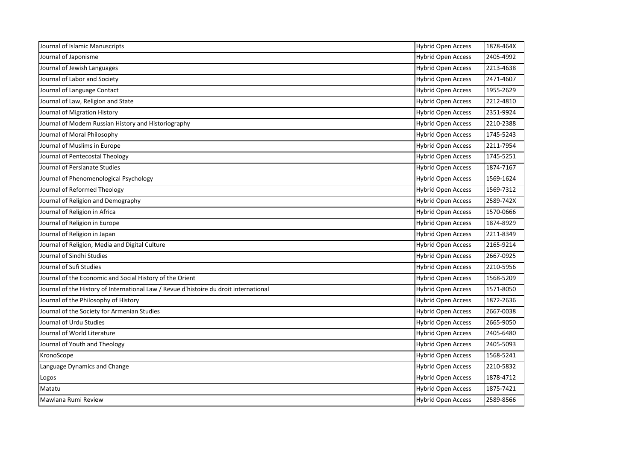| Journal of Islamic Manuscripts                                                        | <b>Hybrid Open Access</b> | 1878-464X |
|---------------------------------------------------------------------------------------|---------------------------|-----------|
| Journal of Japonisme                                                                  | <b>Hybrid Open Access</b> | 2405-4992 |
| Journal of Jewish Languages                                                           | <b>Hybrid Open Access</b> | 2213-4638 |
| Journal of Labor and Society                                                          | <b>Hybrid Open Access</b> | 2471-4607 |
| Journal of Language Contact                                                           | <b>Hybrid Open Access</b> | 1955-2629 |
| Journal of Law, Religion and State                                                    | <b>Hybrid Open Access</b> | 2212-4810 |
| Journal of Migration History                                                          | <b>Hybrid Open Access</b> | 2351-9924 |
| Journal of Modern Russian History and Historiography                                  | <b>Hybrid Open Access</b> | 2210-2388 |
| Journal of Moral Philosophy                                                           | <b>Hybrid Open Access</b> | 1745-5243 |
| Journal of Muslims in Europe                                                          | <b>Hybrid Open Access</b> | 2211-7954 |
| Journal of Pentecostal Theology                                                       | <b>Hybrid Open Access</b> | 1745-5251 |
| Journal of Persianate Studies                                                         | <b>Hybrid Open Access</b> | 1874-7167 |
| Journal of Phenomenological Psychology                                                | <b>Hybrid Open Access</b> | 1569-1624 |
| Journal of Reformed Theology                                                          | <b>Hybrid Open Access</b> | 1569-7312 |
| Journal of Religion and Demography                                                    | <b>Hybrid Open Access</b> | 2589-742X |
| Journal of Religion in Africa                                                         | <b>Hybrid Open Access</b> | 1570-0666 |
| Journal of Religion in Europe                                                         | <b>Hybrid Open Access</b> | 1874-8929 |
| Journal of Religion in Japan                                                          | <b>Hybrid Open Access</b> | 2211-8349 |
| Journal of Religion, Media and Digital Culture                                        | <b>Hybrid Open Access</b> | 2165-9214 |
| Journal of Sindhi Studies                                                             | <b>Hybrid Open Access</b> | 2667-0925 |
| Journal of Sufi Studies                                                               | <b>Hybrid Open Access</b> | 2210-5956 |
| Journal of the Economic and Social History of the Orient                              | <b>Hybrid Open Access</b> | 1568-5209 |
| Journal of the History of International Law / Revue d'histoire du droit international | <b>Hybrid Open Access</b> | 1571-8050 |
| Journal of the Philosophy of History                                                  | <b>Hybrid Open Access</b> | 1872-2636 |
| Journal of the Society for Armenian Studies                                           | <b>Hybrid Open Access</b> | 2667-0038 |
| Journal of Urdu Studies                                                               | <b>Hybrid Open Access</b> | 2665-9050 |
| Journal of World Literature                                                           | <b>Hybrid Open Access</b> | 2405-6480 |
| Journal of Youth and Theology                                                         | <b>Hybrid Open Access</b> | 2405-5093 |
| KronoScope                                                                            | <b>Hybrid Open Access</b> | 1568-5241 |
| Language Dynamics and Change                                                          | <b>Hybrid Open Access</b> | 2210-5832 |
| Logos                                                                                 | <b>Hybrid Open Access</b> | 1878-4712 |
| Matatu                                                                                | <b>Hybrid Open Access</b> | 1875-7421 |
| Mawlana Rumi Review                                                                   | <b>Hybrid Open Access</b> | 2589-8566 |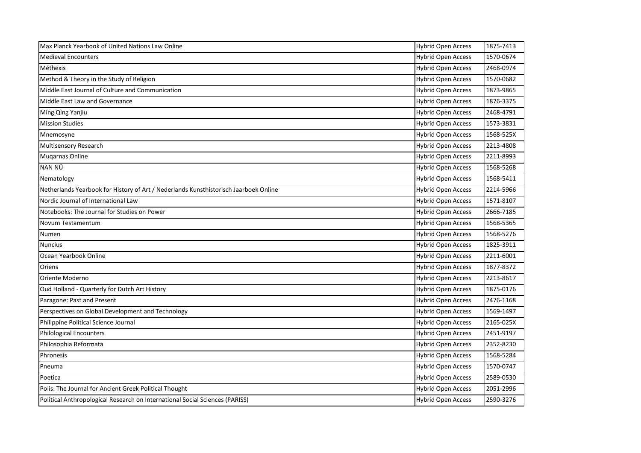| Max Planck Yearbook of United Nations Law Online                                     | <b>Hybrid Open Access</b> | 1875-7413 |
|--------------------------------------------------------------------------------------|---------------------------|-----------|
| <b>Medieval Encounters</b>                                                           | <b>Hybrid Open Access</b> | 1570-0674 |
| Méthexis                                                                             | <b>Hybrid Open Access</b> | 2468-0974 |
| Method & Theory in the Study of Religion                                             | <b>Hybrid Open Access</b> | 1570-0682 |
| Middle East Journal of Culture and Communication                                     | <b>Hybrid Open Access</b> | 1873-9865 |
| Middle East Law and Governance                                                       | <b>Hybrid Open Access</b> | 1876-3375 |
| Ming Qing Yanjiu                                                                     | <b>Hybrid Open Access</b> | 2468-4791 |
| <b>Mission Studies</b>                                                               | <b>Hybrid Open Access</b> | 1573-3831 |
| Mnemosyne                                                                            | <b>Hybrid Open Access</b> | 1568-525X |
| <b>Multisensory Research</b>                                                         | <b>Hybrid Open Access</b> | 2213-4808 |
| <b>Mugarnas Online</b>                                                               | <b>Hybrid Open Access</b> | 2211-8993 |
| NAN NÜ                                                                               | <b>Hybrid Open Access</b> | 1568-5268 |
| Nematology                                                                           | <b>Hybrid Open Access</b> | 1568-5411 |
| Netherlands Yearbook for History of Art / Nederlands Kunsthistorisch Jaarboek Online | <b>Hybrid Open Access</b> | 2214-5966 |
| Nordic Journal of International Law                                                  | <b>Hybrid Open Access</b> | 1571-8107 |
| Notebooks: The Journal for Studies on Power                                          | <b>Hybrid Open Access</b> | 2666-7185 |
| Novum Testamentum                                                                    | <b>Hybrid Open Access</b> | 1568-5365 |
| Numen                                                                                | <b>Hybrid Open Access</b> | 1568-5276 |
| <b>Nuncius</b>                                                                       | <b>Hybrid Open Access</b> | 1825-3911 |
| Ocean Yearbook Online                                                                | <b>Hybrid Open Access</b> | 2211-6001 |
| Oriens                                                                               | <b>Hybrid Open Access</b> | 1877-8372 |
| Oriente Moderno                                                                      | <b>Hybrid Open Access</b> | 2213-8617 |
| Oud Holland - Quarterly for Dutch Art History                                        | <b>Hybrid Open Access</b> | 1875-0176 |
| Paragone: Past and Present                                                           | <b>Hybrid Open Access</b> | 2476-1168 |
| Perspectives on Global Development and Technology                                    | <b>Hybrid Open Access</b> | 1569-1497 |
| Philippine Political Science Journal                                                 | <b>Hybrid Open Access</b> | 2165-025X |
| <b>Philological Encounters</b>                                                       | <b>Hybrid Open Access</b> | 2451-9197 |
| Philosophia Reformata                                                                | <b>Hybrid Open Access</b> | 2352-8230 |
| Phronesis                                                                            | <b>Hybrid Open Access</b> | 1568-5284 |
| Pneuma                                                                               | <b>Hybrid Open Access</b> | 1570-0747 |
| Poetica                                                                              | <b>Hybrid Open Access</b> | 2589-0530 |
| Polis: The Journal for Ancient Greek Political Thought                               | <b>Hybrid Open Access</b> | 2051-2996 |
| Political Anthropological Research on International Social Sciences (PARISS)         | <b>Hybrid Open Access</b> | 2590-3276 |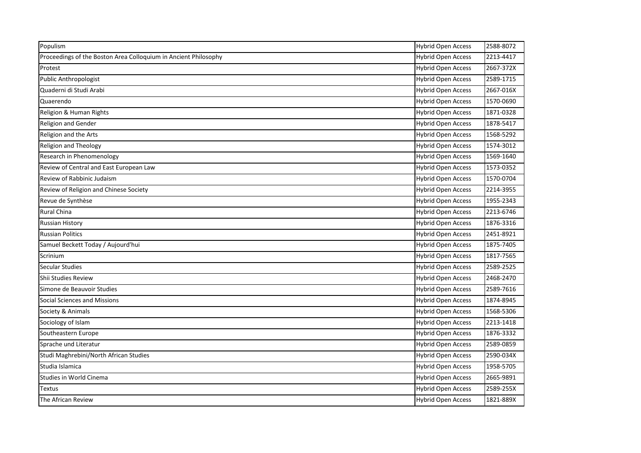| Populism                                                        | <b>Hybrid Open Access</b> | 2588-8072 |
|-----------------------------------------------------------------|---------------------------|-----------|
| Proceedings of the Boston Area Colloquium in Ancient Philosophy | <b>Hybrid Open Access</b> | 2213-4417 |
| Protest                                                         | <b>Hybrid Open Access</b> | 2667-372X |
| Public Anthropologist                                           | <b>Hybrid Open Access</b> | 2589-1715 |
| Quaderni di Studi Arabi                                         | <b>Hybrid Open Access</b> | 2667-016X |
| Quaerendo                                                       | <b>Hybrid Open Access</b> | 1570-0690 |
| Religion & Human Rights                                         | <b>Hybrid Open Access</b> | 1871-0328 |
| <b>Religion and Gender</b>                                      | <b>Hybrid Open Access</b> | 1878-5417 |
| Religion and the Arts                                           | <b>Hybrid Open Access</b> | 1568-5292 |
| Religion and Theology                                           | <b>Hybrid Open Access</b> | 1574-3012 |
| Research in Phenomenology                                       | <b>Hybrid Open Access</b> | 1569-1640 |
| Review of Central and East European Law                         | <b>Hybrid Open Access</b> | 1573-0352 |
| Review of Rabbinic Judaism                                      | <b>Hybrid Open Access</b> | 1570-0704 |
| Review of Religion and Chinese Society                          | <b>Hybrid Open Access</b> | 2214-3955 |
| Revue de Synthèse                                               | <b>Hybrid Open Access</b> | 1955-2343 |
| Rural China                                                     | <b>Hybrid Open Access</b> | 2213-6746 |
| <b>Russian History</b>                                          | <b>Hybrid Open Access</b> | 1876-3316 |
| <b>Russian Politics</b>                                         | <b>Hybrid Open Access</b> | 2451-8921 |
| Samuel Beckett Today / Aujourd'hui                              | <b>Hybrid Open Access</b> | 1875-7405 |
| Scrinium                                                        | <b>Hybrid Open Access</b> | 1817-7565 |
| <b>Secular Studies</b>                                          | <b>Hybrid Open Access</b> | 2589-2525 |
| Shii Studies Review                                             | <b>Hybrid Open Access</b> | 2468-2470 |
| Simone de Beauvoir Studies                                      | <b>Hybrid Open Access</b> | 2589-7616 |
| Social Sciences and Missions                                    | <b>Hybrid Open Access</b> | 1874-8945 |
| Society & Animals                                               | <b>Hybrid Open Access</b> | 1568-5306 |
| Sociology of Islam                                              | <b>Hybrid Open Access</b> | 2213-1418 |
| Southeastern Europe                                             | <b>Hybrid Open Access</b> | 1876-3332 |
| Sprache und Literatur                                           | <b>Hybrid Open Access</b> | 2589-0859 |
| Studi Maghrebini/North African Studies                          | <b>Hybrid Open Access</b> | 2590-034X |
| Studia Islamica                                                 | <b>Hybrid Open Access</b> | 1958-5705 |
| Studies in World Cinema                                         | <b>Hybrid Open Access</b> | 2665-9891 |
| Textus                                                          | <b>Hybrid Open Access</b> | 2589-255X |
| The African Review                                              | <b>Hybrid Open Access</b> | 1821-889X |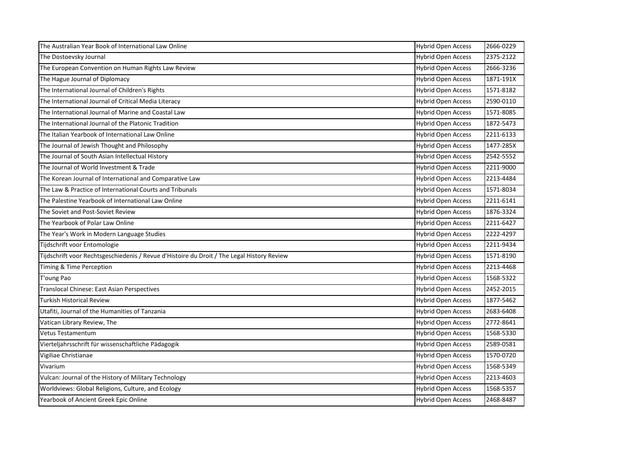| The Australian Year Book of International Law Online                                       | <b>Hybrid Open Access</b> | 2666-0229 |
|--------------------------------------------------------------------------------------------|---------------------------|-----------|
| The Dostoevsky Journal                                                                     | <b>Hybrid Open Access</b> | 2375-2122 |
| The European Convention on Human Rights Law Review                                         | <b>Hybrid Open Access</b> | 2666-3236 |
| The Hague Journal of Diplomacy                                                             | <b>Hybrid Open Access</b> | 1871-191X |
| The International Journal of Children's Rights                                             | <b>Hybrid Open Access</b> | 1571-8182 |
| The International Journal of Critical Media Literacy                                       | <b>Hybrid Open Access</b> | 2590-0110 |
| The International Journal of Marine and Coastal Law                                        | <b>Hybrid Open Access</b> | 1571-8085 |
| The International Journal of the Platonic Tradition                                        | <b>Hybrid Open Access</b> | 1872-5473 |
| The Italian Yearbook of International Law Online                                           | <b>Hybrid Open Access</b> | 2211-6133 |
| The Journal of Jewish Thought and Philosophy                                               | <b>Hybrid Open Access</b> | 1477-285X |
| The Journal of South Asian Intellectual History                                            | <b>Hybrid Open Access</b> | 2542-5552 |
| The Journal of World Investment & Trade                                                    | <b>Hybrid Open Access</b> | 2211-9000 |
| The Korean Journal of International and Comparative Law                                    | <b>Hybrid Open Access</b> | 2213-4484 |
| The Law & Practice of International Courts and Tribunals                                   | <b>Hybrid Open Access</b> | 1571-8034 |
| The Palestine Yearbook of International Law Online                                         | <b>Hybrid Open Access</b> | 2211-6141 |
| The Soviet and Post-Soviet Review                                                          | <b>Hybrid Open Access</b> | 1876-3324 |
| The Yearbook of Polar Law Online                                                           | <b>Hybrid Open Access</b> | 2211-6427 |
| The Year's Work in Modern Language Studies                                                 | <b>Hybrid Open Access</b> | 2222-4297 |
| Tijdschrift voor Entomologie                                                               | <b>Hybrid Open Access</b> | 2211-9434 |
| Tijdschrift voor Rechtsgeschiedenis / Revue d'Histoire du Droit / The Legal History Review | <b>Hybrid Open Access</b> | 1571-8190 |
| Timing & Time Perception                                                                   | <b>Hybrid Open Access</b> | 2213-4468 |
| T'oung Pao                                                                                 | <b>Hybrid Open Access</b> | 1568-5322 |
| Translocal Chinese: East Asian Perspectives                                                | <b>Hybrid Open Access</b> | 2452-2015 |
| Turkish Historical Review                                                                  | <b>Hybrid Open Access</b> | 1877-5462 |
| Utafiti, Journal of the Humanities of Tanzania                                             | <b>Hybrid Open Access</b> | 2683-6408 |
| Vatican Library Review, The                                                                | <b>Hybrid Open Access</b> | 2772-8641 |
| <b>Vetus Testamentum</b>                                                                   | <b>Hybrid Open Access</b> | 1568-5330 |
| Vierteljahrsschrift für wissenschaftliche Pädagogik                                        | <b>Hybrid Open Access</b> | 2589-0581 |
| Vigiliae Christianae                                                                       | <b>Hybrid Open Access</b> | 1570-0720 |
| Vivarium                                                                                   | <b>Hybrid Open Access</b> | 1568-5349 |
| Vulcan: Journal of the History of Military Technology                                      | <b>Hybrid Open Access</b> | 2213-4603 |
| Worldviews: Global Religions, Culture, and Ecology                                         | <b>Hybrid Open Access</b> | 1568-5357 |
| Yearbook of Ancient Greek Epic Online                                                      | <b>Hybrid Open Access</b> | 2468-8487 |